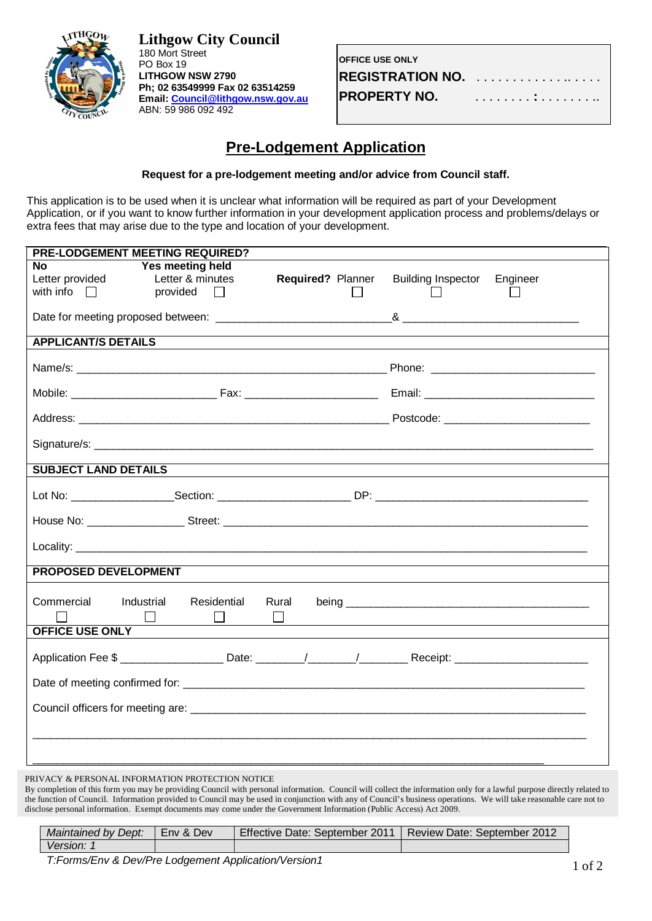

**Lithgow City Council** 180 Mort Street PO Box 19 **LITHGOW NSW 2790 Ph; 02 63549999 Fax 02 63514259 Email: Council@lithgow.nsw.gov.au** ABN: 59 986 092 492

| <b>OFFICE USE ONLY</b> |  |  |  |  |  |  |  |  |  |  |
|------------------------|--|--|--|--|--|--|--|--|--|--|
|                        |  |  |  |  |  |  |  |  |  |  |
| <b>PROPERTY NO.</b>    |  |  |  |  |  |  |  |  |  |  |

## **Pre-Lodgement Application**

## **Request for a pre-lodgement meeting and/or advice from Council staff.**

This application is to be used when it is unclear what information will be required as part of your Development Application, or if you want to know further information in your development application process and problems/delays or extra fees that may arise due to the type and location of your development.

| PRE-LODGEMENT MEETING REQUIRED?                  |                                                            |       |                          |                           |          |
|--------------------------------------------------|------------------------------------------------------------|-------|--------------------------|---------------------------|----------|
| <b>No</b><br>Letter provided<br>with info $\Box$ | Yes meeting held<br>Letter & minutes<br>provided<br>$\Box$ |       | <b>Required? Planner</b> | <b>Building Inspector</b> | Engineer |
|                                                  |                                                            |       |                          |                           |          |
| <b>APPLICANT/S DETAILS</b>                       |                                                            |       |                          |                           |          |
|                                                  |                                                            |       |                          |                           |          |
|                                                  |                                                            |       |                          |                           |          |
|                                                  |                                                            |       |                          |                           |          |
|                                                  |                                                            |       |                          |                           |          |
| <b>SUBJECT LAND DETAILS</b>                      |                                                            |       |                          |                           |          |
|                                                  |                                                            |       |                          |                           |          |
|                                                  |                                                            |       |                          |                           |          |
|                                                  |                                                            |       |                          |                           |          |
| <b>PROPOSED DEVELOPMENT</b>                      |                                                            |       |                          |                           |          |
| Commercial<br>Industrial                         | Residential<br>$\Box$                                      | Rural |                          |                           |          |
| <b>OFFICE USE ONLY</b>                           |                                                            |       |                          |                           |          |
|                                                  |                                                            |       |                          |                           |          |
|                                                  |                                                            |       |                          |                           |          |
|                                                  |                                                            |       |                          |                           |          |
|                                                  |                                                            |       |                          |                           |          |
|                                                  |                                                            |       |                          |                           |          |

PRIVACY & PERSONAL INFORMATION PROTECTION NOTICE

By completion of this form you may be providing Council with personal information. Council will collect the information only for a lawful purpose directly related to the function of Council. Information provided to Council may be used in conjunction with any of Council's business operations. We will take reasonable care not to disclose personal information. Exempt documents may come under the Government Information (Public Access) Act 2009.

| Maintained by Dept: | Env & Dev | Effective Date: September 2011 | <b>Review Date: September 2012</b> |
|---------------------|-----------|--------------------------------|------------------------------------|
| Version:            |           |                                |                                    |

*T:Forms/Env & Dev/Pre Lodgement Application/Version1*